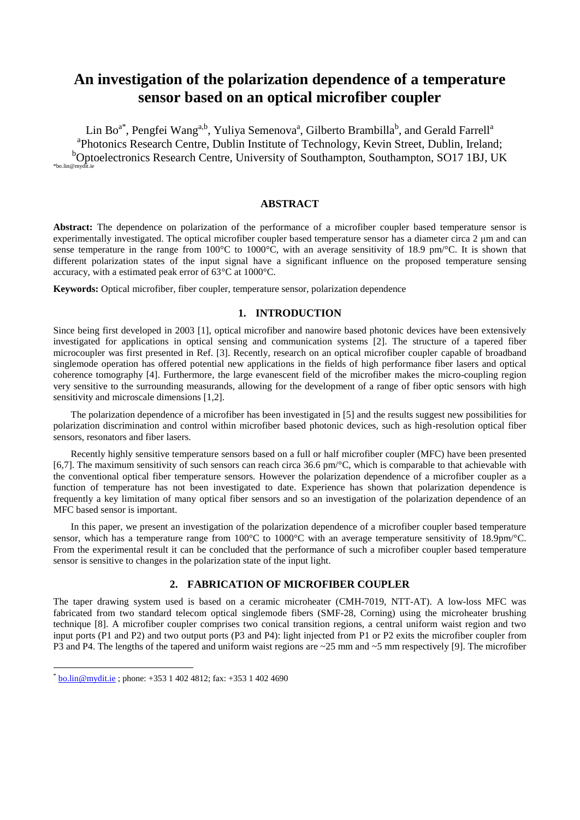# **An investigation of the polarization dependence of a temperature sensor based on an optical microfiber coupler**

Lin Bo $^{\mathrm{a}^{\mathrm{*}}}$ , Pengfei Wang $^{\mathrm{a},\mathrm{b}}$ , Yuliya Semenova $^{\mathrm{a}}$ , Gilberto Brambilla $^{\mathrm{b}}$ , and Gerald Farrell $^{\mathrm{a}}$ <sup>a</sup>Photonics Research Centre, Dublin Institute of Technology, Kevin Street, Dublin, Ireland; <sup>b</sup>Optoelectronics Research Centre, University of Southampton, Southampton, SO17 1BJ, UK \*bo.lin@mydit.ie

### **ABSTRACT**

**Abstract:** The dependence on polarization of the performance of a microfiber coupler based temperature sensor is experimentally investigated. The optical microfiber coupler based temperature sensor has a diameter circa 2 μm and can sense temperature in the range from  $100\text{ C}$  to  $1000\text{ C}$ , with an average sensitivity of 18.9 pm/°C. It is shown that different polarization states of the input signal have a significant influence on the proposed temperature sensing accuracy, with a estimated peak error of 63  $\mathbb{C}$  at 1000  $\mathbb{C}$ .

**Keywords:** Optical microfiber, fiber coupler, temperature sensor, polarization dependence

#### **1. INTRODUCTION**

Since being first developed in 2003 [1], optical microfiber and nanowire based photonic devices have been extensively investigated for applications in optical sensing and communication systems [2]. The structure of a tapered fiber microcoupler was first presented in Ref. [3]. Recently, research on an optical microfiber coupler capable of broadband singlemode operation has offered potential new applications in the fields of high performance fiber lasers and optical coherence tomography [4]. Furthermore, the large evanescent field of the microfiber makes the micro-coupling region very sensitive to the surrounding measurands, allowing for the development of a range of fiber optic sensors with high sensitivity and microscale dimensions [1,2].

The polarization dependence of a microfiber has been investigated in [5] and the results suggest new possibilities for polarization discrimination and control within microfiber based photonic devices, such as high-resolution optical fiber sensors, resonators and fiber lasers.

Recently highly sensitive temperature sensors based on a full or half microfiber coupler (MFC) have been presented [6,7]. The maximum sensitivity of such sensors can reach circa 36.6 pm/ $\mathbb{C}$ , which is comparable to that achievable with the conventional optical fiber temperature sensors. However the polarization dependence of a microfiber coupler as a function of temperature has not been investigated to date. Experience has shown that polarization dependence is frequently a key limitation of many optical fiber sensors and so an investigation of the polarization dependence of an MFC based sensor is important.

In this paper, we present an investigation of the polarization dependence of a microfiber coupler based temperature sensor, which has a temperature range from 100  $\mathbb C$  to 1000  $\mathbb C$  with an average temperature sensitivity of 18.9pm/ $\mathbb C$ . From the experimental result it can be concluded that the performance of such a microfiber coupler based temperature sensor is sensitive to changes in the polarization state of the input light.

## **2. FABRICATION OF MICROFIBER COUPLER**

The taper drawing system used is based on a ceramic microheater (CMH-7019, NTT-AT). A low-loss MFC was fabricated from two standard telecom optical singlemode fibers (SMF-28, Corning) using the microheater brushing technique [8]. A microfiber coupler comprises two conical transition regions, a central uniform waist region and two input ports (P1 and P2) and two output ports (P3 and P4): light injected from P1 or P2 exits the microfiber coupler from P3 and P4. The lengths of the tapered and uniform waist regions are ~25 mm and ~5 mm respectively [9]. The microfiber

1

 $\frac{b \cdot \text{bin@mydit} i}{c}$ ; phone: +353 1 402 4812; fax: +353 1 402 4690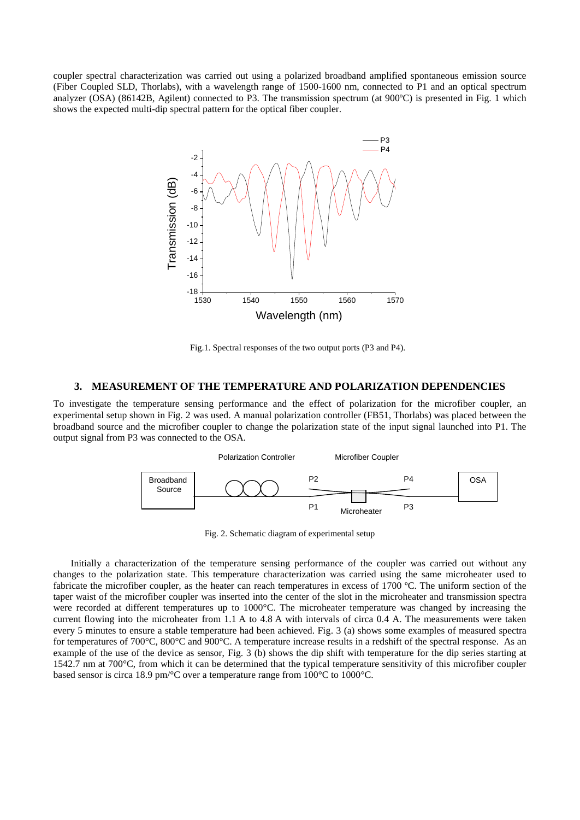coupler spectral characterization was carried out using a polarized broadband amplified spontaneous emission source (Fiber Coupled SLD, Thorlabs), with a wavelength range of 1500-1600 nm, connected to P1 and an optical spectrum analyzer (OSA) (86142B, Agilent) connected to P3. The transmission spectrum (at  $900 \text{ C}$ ) is presented in Fig. 1 which shows the expected multi-dip spectral pattern for the optical fiber coupler.



Fig.1. Spectral responses of the two output ports (P3 and P4).

#### **3. MEASUREMENT OF THE TEMPERATURE AND POLARIZATION DEPENDENCIES**

To investigate the temperature sensing performance and the effect of polarization for the microfiber coupler, an experimental setup shown in Fig. 2 was used. A manual polarization controller (FB51, Thorlabs) was placed between the broadband source and the microfiber coupler to change the polarization state of the input signal launched into P1. The output signal from P3 was connected to the OSA.



Fig. 2. Schematic diagram of experimental setup

Initially a characterization of the temperature sensing performance of the coupler was carried out without any changes to the polarization state. This temperature characterization was carried using the same microheater used to fabricate the microfiber coupler, as the heater can reach temperatures in excess of  $1700\text{ }^{\circ}$ . The uniform section of the taper waist of the microfiber coupler was inserted into the center of the slot in the microheater and transmission spectra were recorded at different temperatures up to 1000 °C. The microheater temperature was changed by increasing the current flowing into the microheater from 1.1 A to 4.8 A with intervals of circa 0.4 A. The measurements were taken every 5 minutes to ensure a stable temperature had been achieved. Fig. 3 (a) shows some examples of measured spectra for temperatures of 700 °C, 800 °C and 900 °C. A temperature increase results in a redshift of the spectral response. As an example of the use of the device as sensor, Fig. 3 (b) shows the dip shift with temperature for the dip series starting at 1542.7 nm at 700 $\mathbb{C}$ , from which it can be determined that the typical temperature sensitivity of this microfiber coupler based sensor is circa 18.9 pm/  $\mathbb C$  over a temperature range from 100  $\mathbb C$  to 1000  $\mathbb C$ .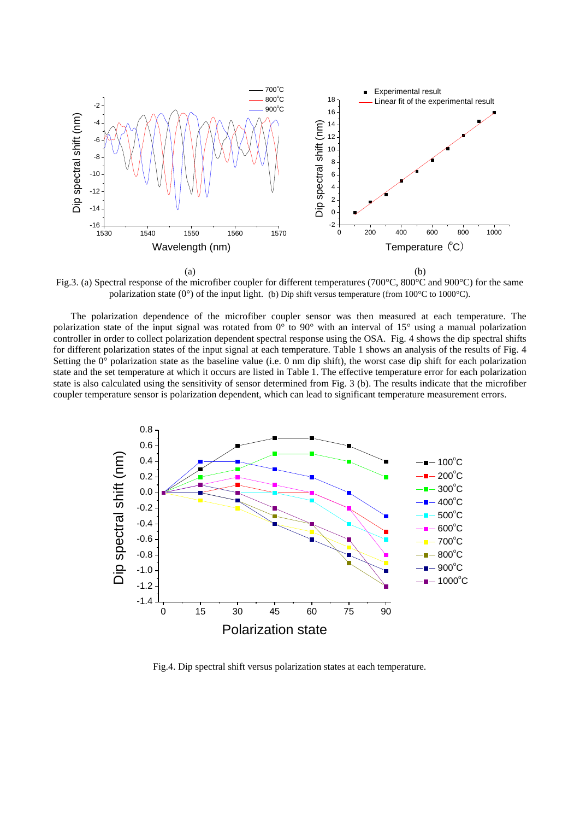

Fig.3. (a) Spectral response of the microfiber coupler for different temperatures (700°C, 800°C and 900°C) for the same polarization state (0 $\degree$ ) of the input light. (b) Dip shift versus temperature (from 100 °C to 1000 °C).

The polarization dependence of the microfiber coupler sensor was then measured at each temperature. The polarization state of the input signal was rotated from  $0^{\circ}$  to  $90^{\circ}$  with an interval of 15° using a manual polarization controller in order to collect polarization dependent spectral response using the OSA. Fig. 4 shows the dip spectral shifts for different polarization states of the input signal at each temperature. Table 1 shows an analysis of the results of Fig. 4 Setting the  $0^{\circ}$  polarization state as the baseline value (i.e. 0 nm dip shift), the worst case dip shift for each polarization state and the set temperature at which it occurs are listed in Table 1. The effective temperature error for each polarization state is also calculated using the sensitivity of sensor determined from Fig. 3 (b). The results indicate that the microfiber coupler temperature sensor is polarization dependent, which can lead to significant temperature measurement errors.



Fig.4. Dip spectral shift versus polarization states at each temperature.